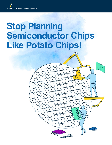# **Stop Planning Semiconductor Chips Like Potato Chips!**

**BARROUNDER**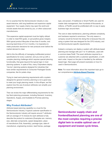It's no surprise that the Semiconductor industry is very asset-intensive, with long leadtimes and expensive capital equipment. Your supply chains may span the world and include assets that are owned by you, or other outsourced manufacturers.

This expensive capital equipment must be highly utilized in order to meet ROI goals, or just positive gross margins. With typical product lifecycles of less than 6 months, and sourcing lead-times of 3 to 4 months, it is imperative to make production decisions for new products even before the market demand is clear.

Add to this the difficulty of managing multifaceted product specifications for every customer, and you end up with a complex planning challenge which requires special planning functionality, that goes beyond the typical logic in most planning systems. In spite of this, many Chipmakers deploy "me-too" planning systems designed for industries that have similar requirements to Consumer Packaged Goods companies, like for potato chips.

Trying to meet semi-planning requirements with a system designed for general inventory planning is not a good way to meet your tough planning needs. In this ePaper, we first explore how the use of product *attributes* can simplify your planning environment.

Then we review the major differentiating requirements for the top Semi-planning processes, including Demand, Inventory, Operations, Supply, and Available-to-Promise planning stages.

# **Why Product Attributes?**

Attribute-based planning capability is a must for the Semiconductor industry. A typical customer specification in the Semiconductor industry will require around 7 *attributes* with an average of 10 choices for each attribute to fully describe the product to customers (Examples are: memory size, alternate components, speed designation, place of manufacture (Fab, Assembly), package type, date-ofmanufacture, engineering revision, lead frames, package

type, and power). If traditional or Smart Part#'s are used for master data management, then hundreds-of-thousands, or millions, of Part#'s would be proliferated with no way to apply business logic around them.

The cost on data maintenance, planning software complexity, and hardware required is enormous. The only reason a company would be forced into doing this is because they are using a system that was designed for the CPG industry, and not Semiconductor-specific requirements.

Instead a company can deploy a system with attribute-based planning and manage with just 7 to 10 *attributes*, used with a common-base Part#. The exact *attributes* required by a customer are attached with a customer specification, or with each order. Impact on the plan is handled by the attributebased logic. Next page will present examples on how it's used in Semiconductors.

**Note:** For more information about this important topic go to our comprehensive **[Attribute-Based Planning](https://www.adexa.com/innovations/attribute-based-planning/)**



**Semiconductor supply chain and frontend/backend planning are one of the most complex requiring a precise digital twin to enable optimal use of equipment and lowest cycle times.**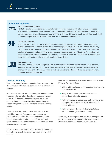### **Attributes in action**

#### **Product range and grades**

*Attributes* can be associated to one or multiple "lots" of generic products, with either a range, or grades, at any point in the manufacturing process. This functionality is used by organizations to match supply and demand according to specific customer requirements. In this way, it is easy to see if a production-lot will meet a customer's specifications. Systems made for CPG environments cannot do that.



0000000

#### **Qualification matrix**

The Qualification Matrix is used to define product revisions and subcontractor locations that have been qualified or accepted by each customer. As demands are placed into the model, the planning tool will only peg to the accepted product and location defined in the Qualification Matrix, for each customer. This is also applicable to process variances within a manufacturing stage per customer--if Customer "A" requires that system level test be conducted before shipment and Customer "B" does not, then attribute associated with this criterion will match and inventory will be planed, accordingly.



#### **Date code range**

The Date Code Range is the acceptable date-of-manufacturing limits that customers can put on an order. *Attributes* are the only way that a company can handle this requirement, since the Date Code Range will change with each order. Traditional planning systems cannot handle this, and therefore cannot tell when a customer order can be satisfied.

## **Demand Planning**

When it comes to discussing major planning processes for the Semiconductor industry, it makes most sense to start with the customer.

Most planning systems have been designed for conventional industries, where product lifecycles are long, and it's much easier to link demand history of older products to new products. Semiconductors' ultra-short product lifecycles present a big challenge to the traditional demand planning solutions.

These systems rely heavily on statistical trends, which predict less accurate forecasts as new products are introduced to the market, in shorter timeframes. Also for more conventional verticals, there are fewer technical specifications or *attributes* to classify, or subdivide, the same set of products for analysis.

In the Semiconductor industry *attributes* need to be used for both sales trend analysis, and to help predict new product demand.

Here are some of the capabilities for an ideal Semi-based Demand Planning system:

- Utilizes *attributes* to segment the product lines based on key-characteristics
- Ability to have multiple parallel hierarchies for segmenting products for analysis
- Ability to calculate expected revenue by using averagesales-price (ASP) based on "views" of data for the various *attributes*
- Ability to visualize the impact of constraints from upstream stages (i.e. Fabrication Lines)

These are just the unique factors that would be required for Semiconductors. A more complete list would also contain statistical forecasting, collaboration, workflow, etc.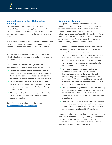# **Multi-Echelon Inventory Optimization Planning**

Inventory Planning in a Semi-company needs to be coordinated across the entire supply chain at many levels, which includes subcontractors and in-house manufacturing. A typical system would only look at the end-item inventory buffers.

Multi-Echelon Inventory Optimization will consider how much inventory needs to be held at each stage of the supply chain (Die bank, tested product, packaged product, customer hubs).

Most critical is to determine how much of a buffer to hold, in the Die bank, to protect against uncertain demand on the Fabrication Lines.

An ideal Multi-Echelon Inventory System for the Semiconductor industry would be able to do the following:

- Balance the cost of a stock-out against the cost-of carrying inventory. (Inventory carry-cost should include the risk of obsolescence, so that the system optimizes the tradeoff between stock-out-cost and inventory cost)
- Set the basic inventory levels at both the end-item (i.e. after test) for make-to-stock products, and at the Die bank—with consideration for lead-times through Assembly & Test
- Allow the user to dictate service-levels for the Die bank so that the Die bank objectives can be achieved through enforcing the policy

**Note:** For more information about this topic go to **[Multi Echelon Inventory Optimization](https://www.adexa.com/solutions/multi-echelon-inventory-optimization-meio/)**

# **Operations Planning**

The Operations Planning is part of the overall S&OP planning process. It needs to determine what forecasts to satisfy if constrained, what inventory levels to target, the build plan for Fab into Die bank, and the amount of subcontractor capacity in Assembly. The needed input is the Demand Plan and the Inventory Plan, as already discussed. At this stage, "What-if" analysis capability, to compare various planning scenarios, becomes essential.

The differences for the Semiconductor environment need to be addressed in the Operations Planning system by considering the following circumstances:

- The unpredictability should be considered at the Fablevel more than the end-item level. This is because products can be manufactured to the Die bank and then completed later (i.e. uncertainty around Die bank demand needs to be addressed)
- The impact of Qualification Matrix needs to be considered. If specific customers represent a disproportionate amount of the forecast for a given product, it may skew the capacity requirements for certain vendors. This in turn could throw off required inventory builds. *Attributes*, or specially named SKU's, need to be used to keep this visible
- The long manufacturing lead-times of chips are also very different than in traditional industries. This is especially difficult for "time-bucketed" systems to handle. The system has to be able to manage cumulative lead-time across buckets
- The ability to address and analyze special requirements of any kind for specific customer needs. This includes special packaging, materials, or other restrictions that need to be considered in the S&OP time-horizon

If many of the above are factors in your enterprise, it may be necessary to perform longer range planning on a demandby-demand basis using Master Production Planning tools. The easiest question to ask is: "how much do customer specifications affect the 12-months plan?"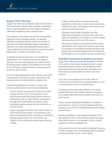# **Supply Chain Planning**

Supply Chain Planning is where the rubber-hits-the-road for the Semiconductor industry. When business is good there will be a capacity bottleneck in Fab, limiting the supply of wafer-starts available to satisfy customer orders.

This bottleneck is two steps away from the finished-goods stage and must be managed carefully. The planning algorithms of traditional systems (which net inventory at each level of the Bill-of-Materials) makes it impossible to determine how critical each dependent-demand really is. These systems cannot tell if new starts are required to just fill safety-stock, or to meet a hot customer order.

An attribute-based planning system can propagate the specifications of the customer order, at each stage of planning. The order based approach of a system built for the Semiconductor industry is very different than one built for the CPG logic—where the focus is on planning generic inventories, and not orders.

Also, with order-based approach with *attributes*, each order is planned and coordinated by stage—ensuring the most important orders are handled with the highest priority.

The following capabilities are specific to supply chain planning systems built for the semi-based enterprises:

- The semi industry has alternative BOM's and complex routings that have 100 or more operations. It also has processing times that change based on resource combinations used (i.e. tester-handler combinations). Accurate order-commit dates and capacity usage calculations requires software that can handle this in a concrete manner
- Ability to propagate the priority of the order line-item, so that the WIP and work-orders in the Assembly & Test areas can be planned based on importance. Remember, planning systems built for the CPG industry drop visibility to order priority when finished-goods inventory is netted
- Ability to handle *attributes* that describe the sitequalifications of the order. Inventory based systems lose visibility to the order, and therefore cannot plan into the correct manufacturing location
- *Attributes* should handle the grading, and other engineering characteristic, of the inventory after probe. Again, this capability is none-existent in inventory based planning systems built for the CPG vertical
- The planning solution must recognize all other product specifications, which make each customer order unique. An example is an acceptable manufacturing Date Code Range. Only an attribute-based system can handle this, and therefore only such a system can give accurate plans

## **Available-to-promise & capable-to-promise**

Supply Chain Planning and real-time Available-to-Promise (ATP) solutions have similar requirements when it comes to the Semiconductor industry. The big difference is that all the special planning logic that has to be applied to the Semiconductor industry needs to be done in less than a second.

That is the only acceptable amount of time after the customer service representative presses the button to check on availability-date quote for a potential order.

Accordingly, all the priority-logic, allocation, date codes, qualified contractors, Die revisions, capacity in assembly, and available wafer-starts must be applied within that very same second.

It takes a system with special capabilities to handle this. If given less than a second, at best the traditional planning systems can only net from committed forecasts and finishedgoods inventory.

Another key difference is the Capable-to-Promise (CTP) logic required. CTP is a critical function used for promising orders when inventory is not available. It has to consider capacities, priorities, availabilities, etc.

The long lead-times for Chips and the complexity of planning for Fabs, Assembly, Test, and Packaging make the Capableto-Promise calculation tricky—to put it lightly.